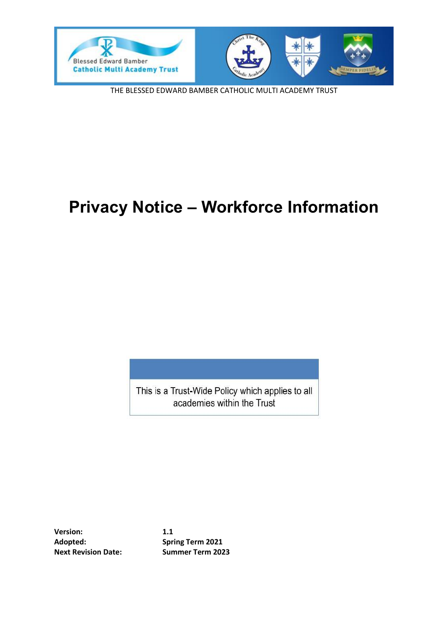

THE BLESSED EDWARD BAMBER CATHOLIC MULTI ACADEMY TRUST

# **Privacy Notice – Workforce Information**

This is a Trust-Wide Policy which applies to all academies within the Trust

**Version: 1.1 Adopted: Spring Term 2021 Next Revision Date: Summer Term 2023**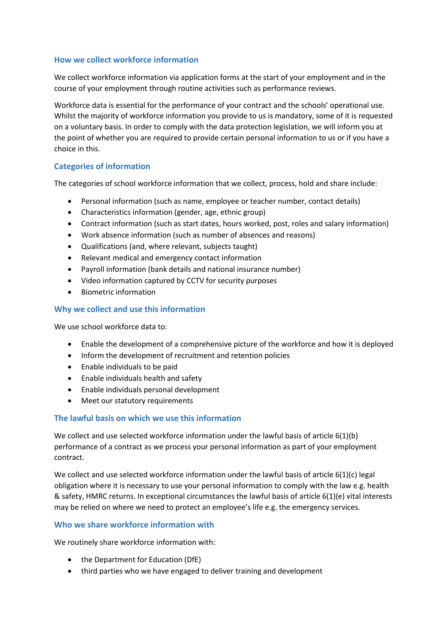# **How we collect workforce information**

We collect workforce information via application forms at the start of your employment and in the course of your employment through routine activities such as performance reviews.

Workforce data is essential for the performance of your contract and the schools' operational use. Whilst the majority of workforce information you provide to us is mandatory, some of it is requested on a voluntary basis. In order to comply with the data protection legislation, we will inform you at the point of whether you are required to provide certain personal information to us or if you have a choice in this.

# **Categories of information**

The categories of school workforce information that we collect, process, hold and share include:

- Personal information (such as name, employee or teacher number, contact details)
- Characteristics information (gender, age, ethnic group)
- Contract information (such as start dates, hours worked, post, roles and salary information)
- Work absence information (such as number of absences and reasons)
- Qualifications (and, where relevant, subjects taught)
- Relevant medical and emergency contact information
- Payroll information (bank details and national insurance number)
- Video information captured by CCTV for security purposes
- Biometric information

## **Why we collect and use this information**

We use school workforce data to:

- Enable the development of a comprehensive picture of the workforce and how it is deployed
- Inform the development of recruitment and retention policies
- Enable individuals to be paid
- Enable individuals health and safety
- Enable individuals personal development
- Meet our statutory requirements

#### **The lawful basis on which we use this information**

We collect and use selected workforce information under the lawful basis of article 6(1)(b) performance of a contract as we process your personal information as part of your employment contract.

We collect and use selected workforce information under the lawful basis of article 6(1)(c) legal obligation where it is necessary to use your personal information to comply with the law e.g. health & safety, HMRC returns. In exceptional circumstances the lawful basis of article 6(1)(e) vital interests may be relied on where we need to protect an employee's life e.g. the emergency services.

# **Who we share workforce information with**

We routinely share workforce information with:

- the Department for Education (DfE)
- third parties who we have engaged to deliver training and development